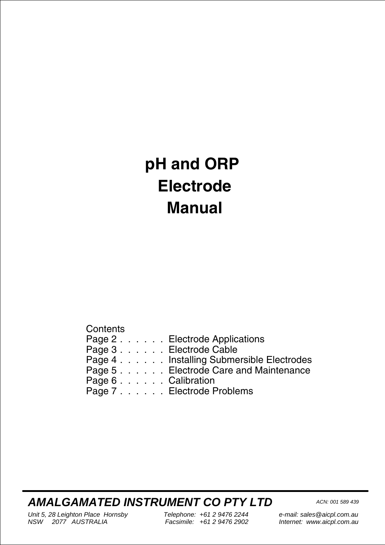# **pH and ORP Electrode Manual**

**Contents** 

|                        | Page 2 Electrode Applications            |
|------------------------|------------------------------------------|
| Page 3 Electrode Cable |                                          |
|                        | Page 4 Installing Submersible Electrodes |
|                        | Page 5 Electrode Care and Maintenance    |
| Page 6 Calibration     |                                          |
|                        | Page 7 Electrode Problems                |
|                        |                                          |

**AMALGAMATED INSTRUMENT CO PTY LTD** ACN: 001 589 439

Unit 5, 28 Leighton Place Hornsby<br>NSW 2077 AUSTRALIA Facsimile: +61 2 9476 2902 NSW 2077 AUSTRALIA

e-mail: sales@aicpl.com.au Internet: www.aicpl.com.au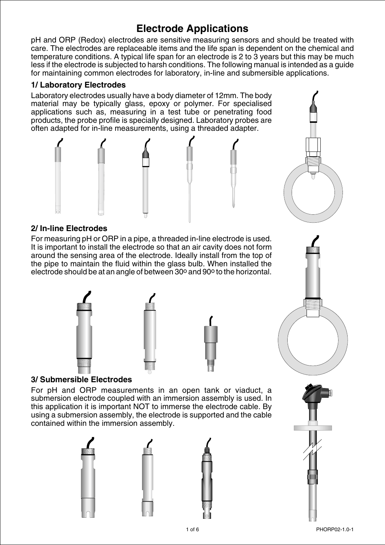# **Electrode Applications**

<span id="page-1-0"></span>pH and ORP (Redox) electrodes are sensitive measuring sensors and should be treated with care. The electrodes are replaceable items and the life span is dependent on the chemical and temperature conditions. A typical life span for an electrode is 2 to 3 years but this may be much less if the electrode is subjected to harsh conditions. The following manual is intended as a guide for maintaining common electrodes for laboratory, in-line and submersible applications.

### **1/ Laboratory Electrodes**

Laboratory electrodes usually have a body diameter of 12mm. The body material may be typically glass, epoxy or polymer. For specialised applications such as, measuring in a test tube or penetrating food products, the probe profile is specially designed. Laboratory probes are often adapted for in-line measurements, using a threaded adapter.



### **2/ In-line Electrodes**

For measuring pH or ORP in a pipe, a threaded in-line electrode is used. It is important to install the electrode so that an air cavity does not form around the sensing area of the electrode. Ideally install from the top of the pipe to maintain the fluid within the glass bulb. When installed the electrode should be at an angle of between 30° and 90° to the horizontal.





### **3/ Submersible Electrodes**

For pH and ORP measurements in an open tank or viaduct, a submersion electrode coupled with an immersion assembly is used. In this application it is important NOT to immerse the electrode cable. By using a submersion assembly, the electrode is supported and the cable contained within the immersion assembly.



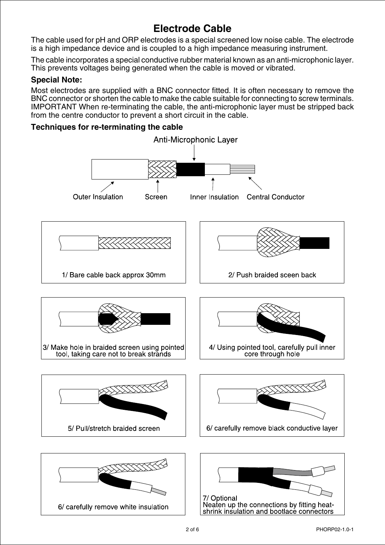## **Electrode Cable**

<span id="page-2-0"></span>The cable used for pH and ORP electrodes is a special screened low noise cable. The electrode is a high impedance device and is coupled to a high impedance measuring instrument.

The cable incorporates a special conductive rubber material known as an anti-microphonic layer. This prevents voltages being generated when the cable is moved or vibrated.

### **Special Note:**

Most electrodes are supplied with a BNC connector fitted. It is often necessary to remove the BNC connector or shorten the cable to make the cable suitable for connecting to screw terminals. IMPORTANT When re-terminating the cable, the anti-microphonic layer must be stripped back from the centre conductor to prevent a short circuit in the cable.

### **Techniques for re-terminating the cable**

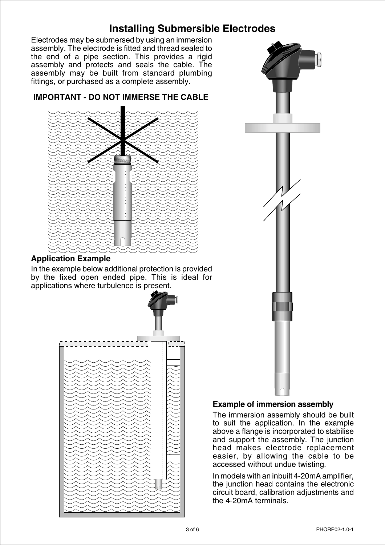# **Installing Submersible Electrodes**

<span id="page-3-0"></span>Electrodes may be submersed by using an immersion assembly. The electrode is fitted and thread sealed to the end of a pipe section. This provides a rigid assembly and protects and seals the cable. The assembly may be built from standard plumbing fittings, or purchased as a complete assembly.



### **IMPORTANT - DO NOT IMMERSE THE CABLE**

### **Application Example**

In the example below additional protection is provided by the fixed open ended pipe. This is ideal for applications where turbulence is present.





### **Example of immersion assembly**

The immersion assembly should be built to suit the application. In the example above a flange is incorporated to stabilise and support the assembly. The junction head makes electrode replacement easier, by allowing the cable to be accessed without undue twisting.

In models with an inbuilt 4-20mA amplifier, the junction head contains the electronic circuit board, calibration adjustments and the 4-20mA terminals.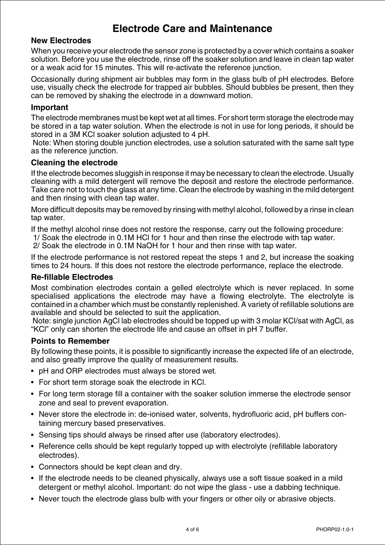### **Electrode Care and Maintenance**

### <span id="page-4-0"></span>**New Electrodes**

When you receive your electrode the sensor zone is protected by a cover which contains a soaker solution. Before you use the electrode, rinse off the soaker solution and leave in clean tap water or a weak acid for 15 minutes. This will re-activate the reference junction.

Occasionally during shipment air bubbles may form in the glass bulb of pH electrodes. Before use, visually check the electrode for trapped air bubbles. Should bubbles be present, then they can be removed by shaking the electrode in a downward motion.

#### **Important**

The electrode membranes must be kept wet at all times. For short term storage the electrode may be stored in a tap water solution. When the electrode is not in use for long periods, it should be stored in a 3M KCl soaker solution adjusted to 4 pH.

Note: When storing double junction electrodes, use a solution saturated with the same salt type as the reference junction.

#### **Cleaning the electrode**

If the electrode becomes sluggish in response it may be necessary to clean the electrode. Usually cleaning with a mild detergent will remove the deposit and restore the electrode performance. Take care not to touch the glass at any time. Clean the electrode by washing in the mild detergent and then rinsing with clean tap water.

More difficult deposits may be removed by rinsing with methyl alcohol, followed by a rinse in clean tap water.

If the methyl alcohol rinse does not restore the response, carry out the following procedure:

1/ Soak the electrode in 0.1M HCl for 1 hour and then rinse the electrode with tap water.

2/ Soak the electrode in 0.1M NaOH for 1 hour and then rinse with tap water.

If the electrode performance is not restored repeat the steps 1 and 2, but increase the soaking times to 24 hours. If this does not restore the electrode performance, replace the electrode.

### **Re-fillable Electrodes**

Most combination electrodes contain a gelled electrolyte which is never replaced. In some specialised applications the electrode may have a flowing electrolyte. The electrolyte is contained in a chamber which must be constantly replenished. A variety of refillable solutions are available and should be selected to suit the application.

Note: single junction AgCl lab electrodes should be topped up with 3 molar KCl/sat with AgCl, as "KCl" only can shorten the electrode life and cause an offset in pH 7 buffer.

### **Points to Remember**

By following these points, it is possible to significantly increase the expected life of an electrode, and also greatly improve the quality of measurement results.

- pH and ORP electrodes must always be stored wet.
- For short term storage soak the electrode in KCl.
- For long term storage fill a container with the soaker solution immerse the electrode sensor zone and seal to prevent evaporation.
- Never store the electrode in: de-ionised water, solvents, hydrofluoric acid, pH buffers containing mercury based preservatives.
- Sensing tips should always be rinsed after use (laboratory electrodes).
- Reference cells should be kept regularly topped up with electrolyte (refillable laboratory electrodes).
- Connectors should be kept clean and dry.
- If the electrode needs to be cleaned physically, always use a soft tissue soaked in a mild detergent or methyl alcohol. Important: do not wipe the glass - use a dabbing technique.
- Never touch the electrode glass bulb with your fingers or other oily or abrasive objects.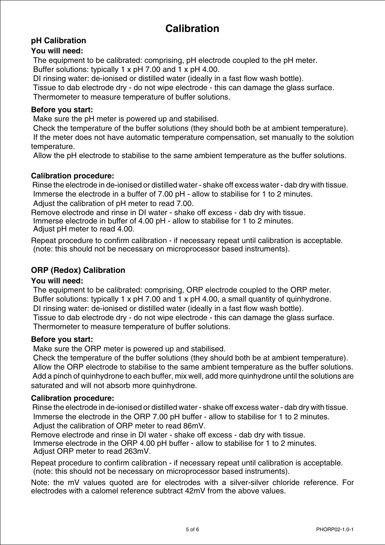## **Calibration**

### <span id="page-5-0"></span>**pH Calibration**

### **You will need:**

The equipment to be calibrated: comprising, pH electrode coupled to the pH meter. Buffer solutions: typically 1 x pH 7.00 and 1 x pH 4.00.

DI rinsing water: de-ionised or distilled water (ideally in a fast flow wash bottle).

Tissue to dab electrode dry - do not wipe electrode - this can damage the glass surface.

Thermometer to measure temperature of buffer solutions.

### **Before you start:**

Make sure the pH meter is powered up and stabilised.

Check the temperature of the buffer solutions (they should both be at ambient temperature).

If the meter does not have automatic temperature compensation, set manually to the solution temperature.

Allow the pH electrode to stabilise to the same ambient temperature as the buffer solutions.

### **Calibration procedure:**

Rinse the electrode in de-ionised or distilled water - shake off excess water - dab dry with tissue. Immerse the electrode in a buffer of 7.00 pH - allow to stabilise for 1 to 2 minutes. Adjust the calibration of pH meter to read 7.00.

Remove electrode and rinse in DI water - shake off excess - dab dry with tissue. Immerse electrode in buffer of 4.00 pH - allow to stabilise for 1 to 2 minutes. Adjust pH meter to read 4.00.

Repeat procedure to confirm calibration - if necessary repeat until calibration is acceptable. (note: this should not be necessary on microprocessor based instruments).

### **ORP (Redox) Calibration**

### **You will need:**

The equipment to be calibrated: comprising, ORP electrode coupled to the ORP meter. Buffer solutions: typically 1 x pH 7.00 and 1 x pH 4.00, a small quantity of quinhydrone. DI rinsing water: de-ionised or distilled water (ideally in a fast flow wash bottle).

Tissue to dab electrode dry - do not wipe electrode - this can damage the glass surface. Thermometer to measure temperature of buffer solutions.

### **Before you start:**

Make sure the ORP meter is powered up and stabilised.

Check the temperature of the buffer solutions (they should both be at ambient temperature). Allow the ORP electrode to stabilise to the same ambient temperature as the buffer solutions. Add a pinch of quinhydrone to each buffer, mix well, add more quinhydrone until the solutions are saturated and will not absorb more quinhydrone.

### **Calibration procedure:**

Rinse the electrode in de-ionised or distilled water - shake off excess water - dab dry with tissue. Immerse the electrode in the ORP 7.00 pH buffer - allow to stabilise for 1 to 2 minutes. Adjust the calibration of ORP meter to read 86mV.

Remove electrode and rinse in DI water - shake off excess - dab dry with tissue. Immerse electrode in the ORP 4.00 pH buffer - allow to stabilise for 1 to 2 minutes. Adjust ORP meter to read 263mV.

Repeat procedure to confirm calibration - if necessary repeat until calibration is acceptable. (note: this should not be necessary on microprocessor based instruments).

Note: the mV values quoted are for electrodes with a silver-silver chloride reference. For electrodes with a calomel reference subtract 42mV from the above values.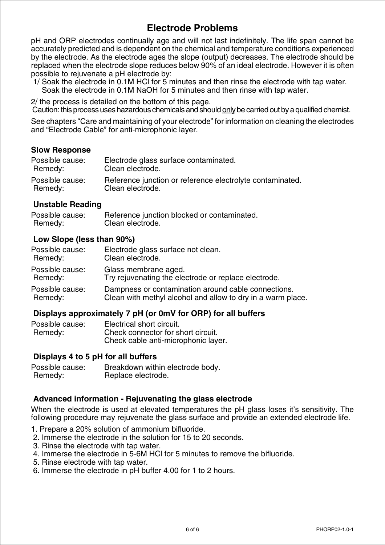### **Electrode Problems**

<span id="page-6-0"></span>pH and ORP electrodes continually age and will not last indefinitely. The life span cannot be accurately predicted and is dependent on the chemical and temperature conditions experienced by the electrode. As the electrode ages the slope (output) decreases. The electrode should be replaced when the electrode slope reduces below 90% of an ideal electrode. However it is often possible to rejuvenate a pH electrode by:

1/ Soak the electrode in 0.1M HCl for 5 minutes and then rinse the electrode with tap water. Soak the electrode in 0.1M NaOH for 5 minutes and then rinse with tap water.

2/ the process is detailed on the bottom of this page.

Caution: this process uses hazardous chemicals and should only be carried out by a qualified chemist.

See chapters "Care and maintaining of your electrode" for information on cleaning the electrodes and "Electrode Cable" for anti-microphonic layer.

### **Slow Response**

| Possible cause: | Electrode glass surface contaminated.                     |
|-----------------|-----------------------------------------------------------|
| Remedy:         | Clean electrode.                                          |
| Possible cause: | Reference junction or reference electrolyte contaminated. |
| Remedy:         | Clean electrode.                                          |

### **Unstable Reading**

| Possible cause: | Reference junction blocked or contaminated. |
|-----------------|---------------------------------------------|
| Remedy:         | Clean electrode.                            |

### **Low Slope (less than 90%)**

| Possible cause: | Electrode glass surface not clean.                          |
|-----------------|-------------------------------------------------------------|
| Remedy:         | Clean electrode.                                            |
| Possible cause: | Glass membrane aged.                                        |
| Remedy:         | Try rejuvenating the electrode or replace electrode.        |
| Possible cause: | Dampness or contamination around cable connections.         |
| Remedy:         | Clean with methyl alcohol and allow to dry in a warm place. |

### **Displays approximately 7 pH (or 0mV for ORP) for all buffers**

| Possible cause: | Electrical short circuit.           |
|-----------------|-------------------------------------|
| Remedy:         | Check connector for short circuit.  |
|                 | Check cable anti-microphonic layer. |

### **Displays 4 to 5 pH for all buffers**

Possible cause: Breakdown within electrode body. Remedy: Replace electrode.

### **Advanced information - Rejuvenating the glass electrode**

When the electrode is used at elevated temperatures the pH glass loses it's sensitivity. The following procedure may rejuvenate the glass surface and provide an extended electrode life.

- 1. Prepare a 20% solution of ammonium bifluoride.
- 2. Immerse the electrode in the solution for 15 to 20 seconds.
- 3. Rinse the electrode with tap water.
- 4. Immerse the electrode in 5-6M HCl for 5 minutes to remove the bifluoride.
- 5. Rinse electrode with tap water.
- 6. Immerse the electrode in pH buffer 4.00 for 1 to 2 hours.